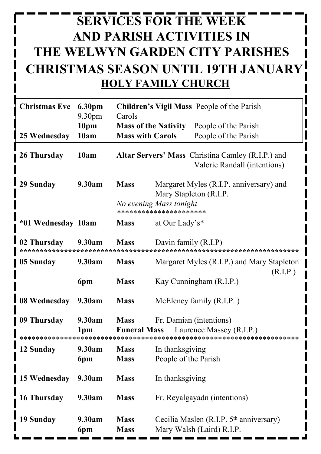## **SERVICES FOR THE WEEK AND PARISH ACTIVITIES IN THE WELWYN GARDEN CITY PARISHES CHRISTMAS SEASON UNTIL 19TH JANUARY HOLY FAMILY CHURCH**

| <b>Christmas Eve</b> | 6.30pm<br>9.30pm<br>10pm<br>10am | Carols<br><b>Mass with Carols</b> | Children's Vigil Mass People of the Parish<br><b>Mass of the Nativity</b><br>People of the Parish<br>People of the Parish |
|----------------------|----------------------------------|-----------------------------------|---------------------------------------------------------------------------------------------------------------------------|
| 25 Wednesday         |                                  |                                   |                                                                                                                           |
| 26 Thursday          | 10am                             |                                   | <b>Altar Servers' Mass</b> Christina Camley (R.I.P.) and<br>Valerie Randall (intentions)                                  |
| 29 Sunday            | 9.30am                           | <b>Mass</b>                       | Margaret Myles (R.I.P. anniversary) and<br>Mary Stapleton (R.I.P.                                                         |
|                      |                                  |                                   | No evening Mass tonight<br>**********************                                                                         |
| *01 Wednesday 10am   |                                  | <b>Mass</b>                       | at Our Lady's*                                                                                                            |
| 02 Thursday          | 9.30am                           | <b>Mass</b>                       | Davin family (R.I.P)                                                                                                      |
| 05 Sunday            | 9.30am                           | <b>Mass</b>                       | Margaret Myles (R.I.P.) and Mary Stapleton<br>(R.I.P.)                                                                    |
|                      | 6pm                              | <b>Mass</b>                       | Kay Cunningham (R.I.P.)                                                                                                   |
| 08 Wednesday         | 9.30am                           | <b>Mass</b>                       | McEleney family (R.I.P.)                                                                                                  |
| 09 Thursday          | 9.30am<br>1 <sub>pm</sub>        | <b>Mass</b>                       | Fr. Damian (intentions)<br><b>Funeral Mass</b> Laurence Massey (R.I.P.)                                                   |
|                      |                                  |                                   |                                                                                                                           |
| 12 Sunday            | 9.30am                           | <b>Mass</b>                       | In thanksgiving                                                                                                           |
|                      | 6pm                              | <b>Mass</b>                       | People of the Parish                                                                                                      |
| 15 Wednesday         | 9.30am                           | <b>Mass</b>                       | In thanksgiving                                                                                                           |
| 16 Thursday          | 9.30am                           | <b>Mass</b>                       | Fr. Reyalgayadn (intentions)                                                                                              |
| 19 Sunday            | 9.30am<br>6pm                    | <b>Mass</b><br><b>Mass</b>        | Cecilia Maslen (R.I.P. 5 <sup>th</sup> anniversary)<br>Mary Walsh (Laird) R.I.P.                                          |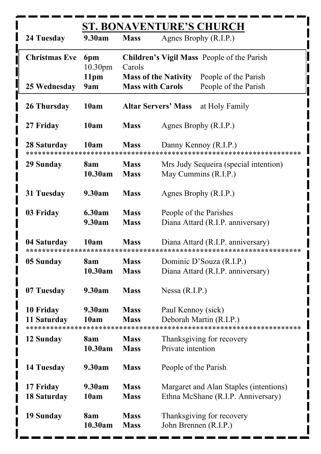|                          | <b>ST. BONAVENTURE'S CHURCH</b> |                            |                                                                              |  |
|--------------------------|---------------------------------|----------------------------|------------------------------------------------------------------------------|--|
| 24 Tuesday               | 9.30am                          | <b>Mass</b>                | Agnes Brophy (R.I.P.)                                                        |  |
| <b>Christmas Eve</b>     | 6pm<br>10.30 <sub>pm</sub>      | Carols                     | <b>Children's Vigil Mass</b> People of the Parish                            |  |
| 25 Wednesday             | 11 <sub>pm</sub><br>9am         | <b>Mass with Carols</b>    | <b>Mass of the Nativity</b><br>People of the Parish<br>People of the Parish  |  |
| 26 Thursday              | 10am                            |                            | <b>Altar Servers' Mass</b> at Holy Family                                    |  |
| 27 Friday                | 10am                            | <b>Mass</b>                | Agnes Brophy (R.I.P.)                                                        |  |
| 28 Saturday              | 10am                            | <b>Mass</b>                | Danny Kennoy (R.I.P.)                                                        |  |
| 29 Sunday                | 8am<br>10.30am                  | <b>Mass</b><br><b>Mass</b> | Mrs Judy Sequeira (special intention)<br>May Cummins (R.I.P.)                |  |
| 31 Tuesday               | 9.30am                          | <b>Mass</b>                | Agnes Brophy (R.I.P.)                                                        |  |
| 03 Friday                | 6.30am<br>9.30am                | <b>Mass</b><br><b>Mass</b> | People of the Parishes<br>Diana Attard (R.I.P. anniversary)                  |  |
| 04 Saturday              | 10am                            | <b>Mass</b>                | Diana Attard (R.I.P. anniversary)                                            |  |
| 05 Sunday                | 8am<br>10.30am                  | <b>Mass</b><br><b>Mass</b> | Dominic D'Souza (R.I.P.)<br>Diana Attard (R.I.P. anniversary)                |  |
| 07 Tuesday               | 9.30am                          | <b>Mass</b>                | Nessa $(R.I.P.)$                                                             |  |
| 10 Friday<br>11 Saturday | 9.30am<br>10am                  | <b>Mass</b><br><b>Mass</b> | Paul Kennoy (sick)<br>Deborah Martin (R.I.P.)                                |  |
| 12 Sunday                | 8am<br>10.30am                  | <b>Mass</b><br><b>Mass</b> | Thanksgiving for recovery<br>Private intention                               |  |
| 14 Tuesday               | 9.30am                          | <b>Mass</b>                | People of the Parish                                                         |  |
| 17 Friday<br>18 Saturday | 9.30am<br>10am                  | <b>Mass</b><br><b>Mass</b> | Margaret and Alan Staples (intentions)<br>Ethna McShane (R.I.P. Anniversary) |  |
| 19 Sunday                | 8am<br>10.30am                  | <b>Mass</b><br><b>Mass</b> | Thanksgiving for recovery<br>John Brennen (R.I.P.)                           |  |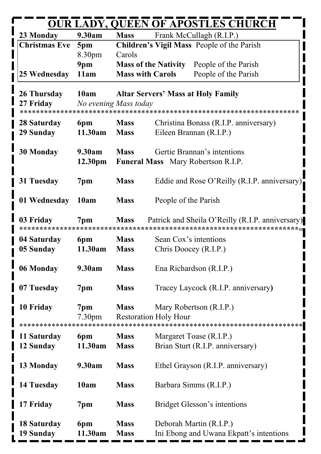| <b>OUR LADY, QUEEN OF APOSTLES CHURCH</b> |                     |                         |                                                     |  |
|-------------------------------------------|---------------------|-------------------------|-----------------------------------------------------|--|
| 23 Monday                                 | 9.30am              | <b>Mass</b>             | Frank McCullagh (R.I.P.)                            |  |
| <b>Christmas Eve</b>                      | 5pm                 |                         | Children's Vigil Mass People of the Parish          |  |
|                                           | 8.30 <sub>pm</sub>  | Carols                  |                                                     |  |
|                                           | 9pm                 |                         | <b>Mass of the Nativity</b><br>People of the Parish |  |
| 25 Wednesday                              | 11am                | <b>Mass with Carols</b> | People of the Parish                                |  |
| 26 Thursday                               | 10am                |                         | <b>Altar Servers' Mass at Holy Family</b>           |  |
| 27 Friday                                 |                     | No evening Mass today   |                                                     |  |
|                                           |                     |                         |                                                     |  |
| 28 Saturday                               | 6pm                 | <b>Mass</b>             | Christina Bonass (R.I.P. anniversary)               |  |
| 29 Sunday                                 | 11.30am             | <b>Mass</b>             | Eileen Brannan (R.I.P.)                             |  |
| <b>30 Monday</b>                          | 9.30am              | <b>Mass</b>             | Gertie Brannan's intentions                         |  |
|                                           | 12.30 <sub>pm</sub> |                         | Funeral Mass Mary Robertson R.I.P.                  |  |
|                                           |                     |                         |                                                     |  |
| 31 Tuesday                                | 7pm                 | <b>Mass</b>             | Eddie and Rose O'Reilly (R.I.P. anniversary)        |  |
|                                           |                     |                         |                                                     |  |
| 01 Wednesday                              | 10am                | <b>Mass</b>             | People of the Parish                                |  |
| 03 Friday                                 | 7 <sub>pm</sub>     | <b>Mass</b>             | Patrick and Sheila O'Reilly (R.I.P. anniversary)    |  |
|                                           |                     |                         |                                                     |  |
| 04 Saturday                               | 6pm                 | <b>Mass</b>             | Sean Cox's intentions                               |  |
| 05 Sunday                                 | 11.30am             | <b>Mass</b>             | Chris Doocey (R.I.P.)                               |  |
|                                           | 9.30am              | <b>Mass</b>             |                                                     |  |
| 06 Monday                                 |                     |                         | Ena Richardson (R.I.P.)                             |  |
| 07 Tuesday                                | 7pm                 | <b>Mass</b>             | Tracey Laycock (R.I.P. anniversary)                 |  |
|                                           |                     |                         |                                                     |  |
| 10 Friday                                 | 7pm                 | <b>Mass</b>             | Mary Robertson (R.I.P.)                             |  |
|                                           | 7.30 <sub>pm</sub>  |                         | <b>Restoration Holy Hour</b>                        |  |
| 11 Saturday                               | 6pm                 | <b>Mass</b>             | Margaret Toase (R.I.P.)                             |  |
| 12 Sunday                                 | 11.30am             | <b>Mass</b>             | Brian Sturt (R.I.P. anniversary)                    |  |
|                                           |                     |                         |                                                     |  |
| 13 Monday                                 | 9.30am              | <b>Mass</b>             | Ethel Grayson (R.I.P. anniversary)                  |  |
|                                           |                     |                         |                                                     |  |
| 14 Tuesday                                | 10am                | <b>Mass</b>             | Barbara Simms (R.I.P.)                              |  |
| 17 Friday                                 | 7pm                 | <b>Mass</b>             | <b>Bridget Glesson's intentions</b>                 |  |
|                                           |                     |                         |                                                     |  |
| 18 Saturday                               | 6pm                 | <b>Mass</b>             | Deborah Martin (R.I.P.)                             |  |
| 19 Sunday                                 | 11.30am             | <b>Mass</b>             | Ini Ebong and Uwana Ekpatt's intentions             |  |